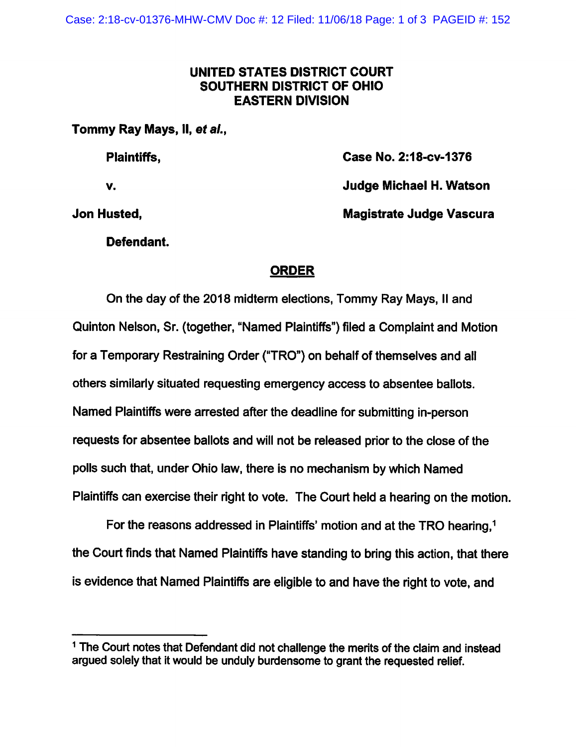## UNITED STATES DISTRICT COURT SOUTHERN DISTRICT OF OHIO EASTERN DIVISION

Tommy Ray Mays, II, et al.,

Plaintiffs, Case No. 2:18-cv-1376

V. Judge Michael H. Watson

Jon Husted, Magistrate Judge Vascura

Defendant.

## ORDER

On the day of the 2018 midterm elections, Tommy Ray Mays, ii and Quinton Nelson, Sr. (together, "Named Plaintiffs") filed a Complaint and Motion for a Temporary Restraining Order ("TRO") on behalf of themselves and ail others similarly situated requesting emergency access to absentee ballots. Named Plaintiffs were arrested after the deadline for submitting in-person requests for absentee ballots and will not be released prior to the close of the polls such that, under Ohio law, there is no mechanism by which Named Plaintiffs can exercise their right to vote. The Court held a hearing on the motion.

For the reasons addressed in Plaintiffs' motion and at the TRO hearing.<sup>1</sup> the Court finds that Named Plaintiffs have standing to bring this action, that there is evidence that Named Plaintiffs are eligible to and have the right to vote, and

 $1$  The Court notes that Defendant did not challenge the merits of the claim and instead argued solely that it would be unduly burdensome to grant the requested relief.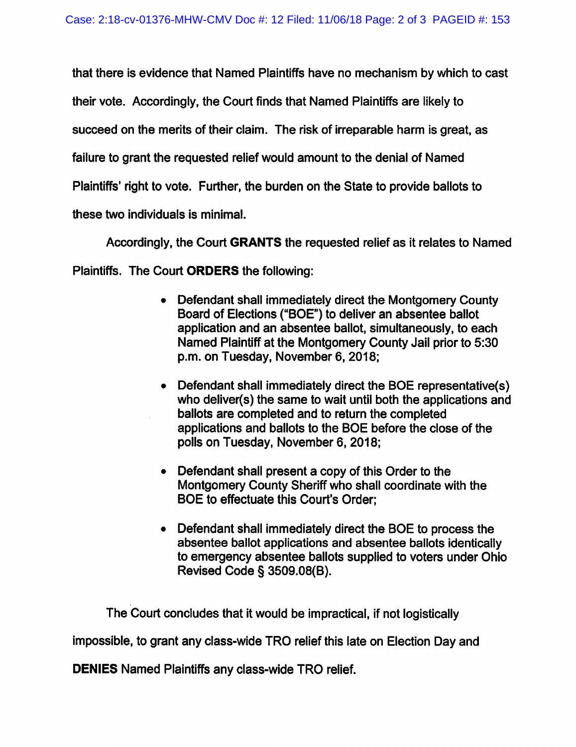that there is evidence that Named Plaintiffs have no mechanism by which to cast their vote. Accordingly, the Court finds that Named Plaintiffs are likely to succeed on the merits of their claim. The risk of irreparable harm is great, as failure to grant the requested relief would amount to the denial of Named Plaintiffs' right to vote. Further, the burden on the State to provide ballots to these two individuals is minimal.

Accordingly, the Court GRANTS the requested relief as it relates to Named Plaintiffs. The Court ORDERS the following:

- Defendant shall immediately direct the Montgomery County Board of Elections ("BOE") to deliver an absentee ballot application and an absentee ballot, simultaneously, to each Named Plaintiff at the Montgomery County Jail prior to 5:30 p.m. on Tuesday, November 6, 2018;
- Defendant shall immediately direct the BOE representative(s) who deliver(s) the same to wait until both the applications and ballots are completed and to return the completed applications and ballots to the BOE before the close of the polls on Tuesday, November 6, 2018;
- Defendant shall present a copy of this Order to the Montgomery County Sheriff who shall coordinate with the BOE to effectuate this Court's Order:
- Defendant shall immediately direct the BOE to process the absentee ballot applications and absentee ballots identically to emergency absentee ballots supplied to voters under Ohio Revised Code § 3509.08(B).

The Court concludes that it would be impractical, if not logisticaliy

impossible, to grant any class-wide TRO relief this late on Election Day and

DENIES Named Plaintiffs any class-wide TRO relief.